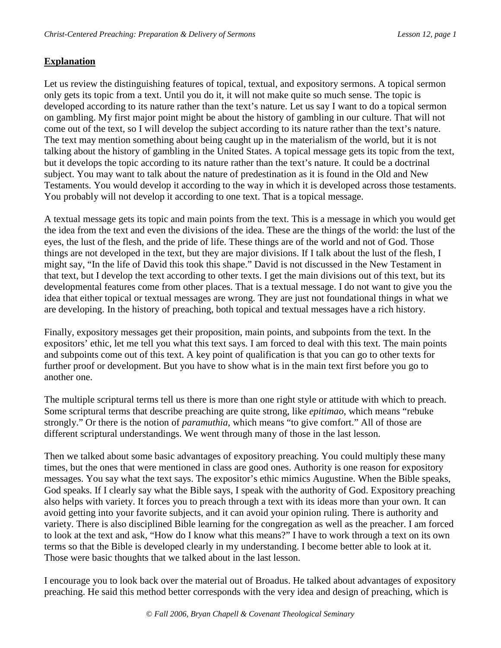# **Explanation**

Let us review the distinguishing features of topical, textual, and expository sermons. A topical sermon only gets its topic from a text. Until you do it, it will not make quite so much sense. The topic is developed according to its nature rather than the text's nature. Let us say I want to do a topical sermon on gambling. My first major point might be about the history of gambling in our culture. That will not come out of the text, so I will develop the subject according to its nature rather than the text's nature. The text may mention something about being caught up in the materialism of the world, but it is not talking about the history of gambling in the United States. A topical message gets its topic from the text, but it develops the topic according to its nature rather than the text's nature. It could be a doctrinal subject. You may want to talk about the nature of predestination as it is found in the Old and New Testaments. You would develop it according to the way in which it is developed across those testaments. You probably will not develop it according to one text. That is a topical message.

A textual message gets its topic and main points from the text. This is a message in which you would get the idea from the text and even the divisions of the idea. These are the things of the world: the lust of the eyes, the lust of the flesh, and the pride of life. These things are of the world and not of God. Those things are not developed in the text, but they are major divisions. If I talk about the lust of the flesh, I might say, "In the life of David this took this shape." David is not discussed in the New Testament in that text, but I develop the text according to other texts. I get the main divisions out of this text, but its developmental features come from other places. That is a textual message. I do not want to give you the idea that either topical or textual messages are wrong. They are just not foundational things in what we are developing. In the history of preaching, both topical and textual messages have a rich history.

Finally, expository messages get their proposition, main points, and subpoints from the text. In the expositors' ethic, let me tell you what this text says. I am forced to deal with this text. The main points and subpoints come out of this text. A key point of qualification is that you can go to other texts for further proof or development. But you have to show what is in the main text first before you go to another one.

The multiple scriptural terms tell us there is more than one right style or attitude with which to preach. Some scriptural terms that describe preaching are quite strong, like *epitimao*, which means "rebuke strongly." Or there is the notion of *paramuthia*, which means "to give comfort." All of those are different scriptural understandings. We went through many of those in the last lesson.

Then we talked about some basic advantages of expository preaching. You could multiply these many times, but the ones that were mentioned in class are good ones. Authority is one reason for expository messages. You say what the text says. The expositor's ethic mimics Augustine. When the Bible speaks, God speaks. If I clearly say what the Bible says, I speak with the authority of God. Expository preaching also helps with variety. It forces you to preach through a text with its ideas more than your own. It can avoid getting into your favorite subjects, and it can avoid your opinion ruling. There is authority and variety. There is also disciplined Bible learning for the congregation as well as the preacher. I am forced to look at the text and ask, "How do I know what this means?" I have to work through a text on its own terms so that the Bible is developed clearly in my understanding. I become better able to look at it. Those were basic thoughts that we talked about in the last lesson.

I encourage you to look back over the material out of Broadus. He talked about advantages of expository preaching. He said this method better corresponds with the very idea and design of preaching, which is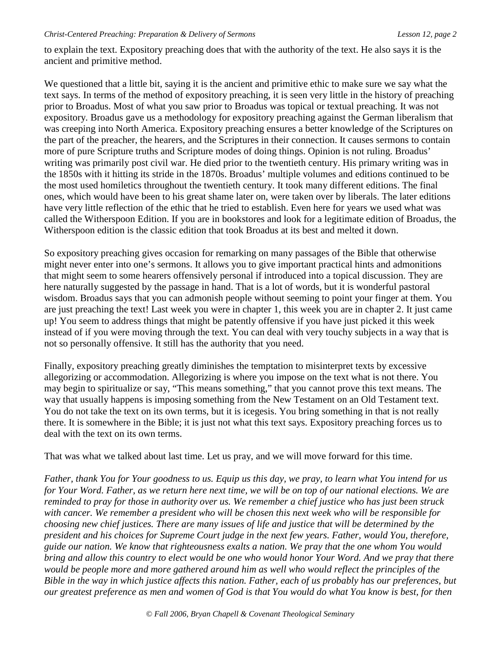to explain the text. Expository preaching does that with the authority of the text. He also says it is the ancient and primitive method.

We questioned that a little bit, saying it is the ancient and primitive ethic to make sure we say what the text says. In terms of the method of expository preaching, it is seen very little in the history of preaching prior to Broadus. Most of what you saw prior to Broadus was topical or textual preaching. It was not expository. Broadus gave us a methodology for expository preaching against the German liberalism that was creeping into North America. Expository preaching ensures a better knowledge of the Scriptures on the part of the preacher, the hearers, and the Scriptures in their connection. It causes sermons to contain more of pure Scripture truths and Scripture modes of doing things. Opinion is not ruling. Broadus' writing was primarily post civil war. He died prior to the twentieth century. His primary writing was in the 1850s with it hitting its stride in the 1870s. Broadus' multiple volumes and editions continued to be the most used homiletics throughout the twentieth century. It took many different editions. The final ones, which would have been to his great shame later on, were taken over by liberals. The later editions have very little reflection of the ethic that he tried to establish. Even here for years we used what was called the Witherspoon Edition. If you are in bookstores and look for a legitimate edition of Broadus, the Witherspoon edition is the classic edition that took Broadus at its best and melted it down.

So expository preaching gives occasion for remarking on many passages of the Bible that otherwise might never enter into one's sermons. It allows you to give important practical hints and admonitions that might seem to some hearers offensively personal if introduced into a topical discussion. They are here naturally suggested by the passage in hand. That is a lot of words, but it is wonderful pastoral wisdom. Broadus says that you can admonish people without seeming to point your finger at them. You are just preaching the text! Last week you were in chapter 1, this week you are in chapter 2. It just came up! You seem to address things that might be patently offensive if you have just picked it this week instead of if you were moving through the text. You can deal with very touchy subjects in a way that is not so personally offensive. It still has the authority that you need.

Finally, expository preaching greatly diminishes the temptation to misinterpret texts by excessive allegorizing or accommodation. Allegorizing is where you impose on the text what is not there. You may begin to spiritualize or say, "This means something," that you cannot prove this text means. The way that usually happens is imposing something from the New Testament on an Old Testament text. You do not take the text on its own terms, but it is icegesis. You bring something in that is not really there. It is somewhere in the Bible; it is just not what this text says. Expository preaching forces us to deal with the text on its own terms.

That was what we talked about last time. Let us pray, and we will move forward for this time.

*Father, thank You for Your goodness to us. Equip us this day, we pray, to learn what You intend for us for Your Word. Father, as we return here next time, we will be on top of our national elections. We are reminded to pray for those in authority over us. We remember a chief justice who has just been struck with cancer. We remember a president who will be chosen this next week who will be responsible for choosing new chief justices. There are many issues of life and justice that will be determined by the president and his choices for Supreme Court judge in the next few years. Father, would You, therefore, guide our nation. We know that righteousness exalts a nation. We pray that the one whom You would bring and allow this country to elect would be one who would honor Your Word. And we pray that there would be people more and more gathered around him as well who would reflect the principles of the Bible in the way in which justice affects this nation. Father, each of us probably has our preferences, but our greatest preference as men and women of God is that You would do what You know is best, for then*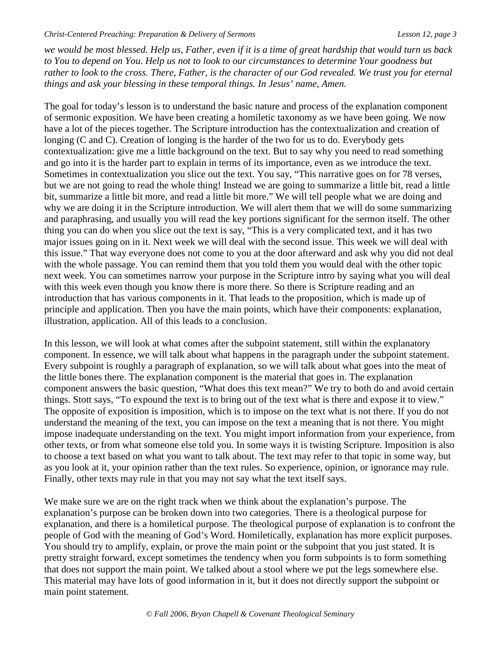*we would be most blessed. Help us, Father, even if it is a time of great hardship that would turn us back to You to depend on You. Help us not to look to our circumstances to determine Your goodness but rather to look to the cross. There, Father, is the character of our God revealed. We trust you for eternal things and ask your blessing in these temporal things. In Jesus' name, Amen.* 

The goal for today's lesson is to understand the basic nature and process of the explanation component of sermonic exposition. We have been creating a homiletic taxonomy as we have been going. We now have a lot of the pieces together. The Scripture introduction has the contextualization and creation of longing (C and C). Creation of longing is the harder of the two for us to do. Everybody gets contextualization: give me a little background on the text. But to say why you need to read something and go into it is the harder part to explain in terms of its importance, even as we introduce the text. Sometimes in contextualization you slice out the text. You say, "This narrative goes on for 78 verses, but we are not going to read the whole thing! Instead we are going to summarize a little bit, read a little bit, summarize a little bit more, and read a little bit more." We will tell people what we are doing and why we are doing it in the Scripture introduction. We will alert them that we will do some summarizing and paraphrasing, and usually you will read the key portions significant for the sermon itself. The other thing you can do when you slice out the text is say, "This is a very complicated text, and it has two major issues going on in it. Next week we will deal with the second issue. This week we will deal with this issue." That way everyone does not come to you at the door afterward and ask why you did not deal with the whole passage. You can remind them that you told them you would deal with the other topic next week. You can sometimes narrow your purpose in the Scripture intro by saying what you will deal with this week even though you know there is more there. So there is Scripture reading and an introduction that has various components in it. That leads to the proposition, which is made up of principle and application. Then you have the main points, which have their components: explanation, illustration, application. All of this leads to a conclusion.

In this lesson, we will look at what comes after the subpoint statement, still within the explanatory component. In essence, we will talk about what happens in the paragraph under the subpoint statement. Every subpoint is roughly a paragraph of explanation, so we will talk about what goes into the meat of the little bones there. The explanation component is the material that goes in. The explanation component answers the basic question, "What does this text mean?" We try to both do and avoid certain things. Stott says, "To expound the text is to bring out of the text what is there and expose it to view." The opposite of exposition is imposition, which is to impose on the text what is not there. If you do not understand the meaning of the text, you can impose on the text a meaning that is not there. You might impose inadequate understanding on the text. You might import information from your experience, from other texts, or from what someone else told you. In some ways it is twisting Scripture. Imposition is also to choose a text based on what you want to talk about. The text may refer to that topic in some way, but as you look at it, your opinion rather than the text rules. So experience, opinion, or ignorance may rule. Finally, other texts may rule in that you may not say what the text itself says.

We make sure we are on the right track when we think about the explanation's purpose. The explanation's purpose can be broken down into two categories. There is a theological purpose for explanation, and there is a homiletical purpose. The theological purpose of explanation is to confront the people of God with the meaning of God's Word. Homiletically, explanation has more explicit purposes. You should try to amplify, explain, or prove the main point or the subpoint that you just stated. It is pretty straight forward, except sometimes the tendency when you form subpoints is to form something that does not support the main point. We talked about a stool where we put the legs somewhere else. This material may have lots of good information in it, but it does not directly support the subpoint or main point statement.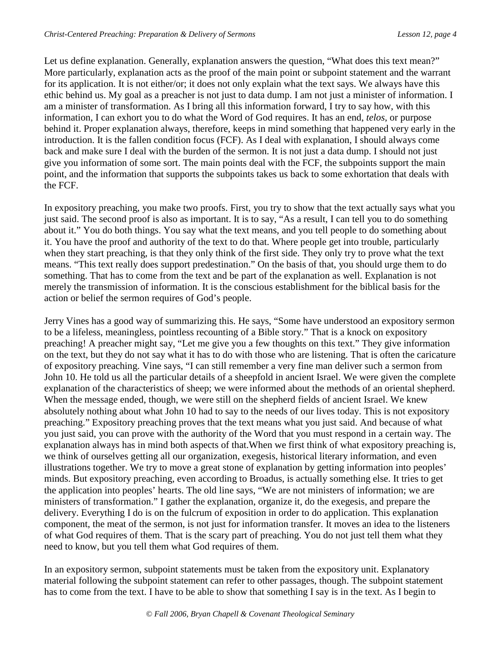Let us define explanation. Generally, explanation answers the question, "What does this text mean?" More particularly, explanation acts as the proof of the main point or subpoint statement and the warrant for its application. It is not either/or; it does not only explain what the text says. We always have this ethic behind us. My goal as a preacher is not just to data dump. I am not just a minister of information. I am a minister of transformation. As I bring all this information forward, I try to say how, with this information, I can exhort you to do what the Word of God requires. It has an end, *telos*, or purpose behind it. Proper explanation always, therefore, keeps in mind something that happened very early in the introduction. It is the fallen condition focus (FCF). As I deal with explanation, I should always come back and make sure I deal with the burden of the sermon. It is not just a data dump. I should not just give you information of some sort. The main points deal with the FCF, the subpoints support the main point, and the information that supports the subpoints takes us back to some exhortation that deals with the FCF.

In expository preaching, you make two proofs. First, you try to show that the text actually says what you just said. The second proof is also as important. It is to say, "As a result, I can tell you to do something about it." You do both things. You say what the text means, and you tell people to do something about it. You have the proof and authority of the text to do that. Where people get into trouble, particularly when they start preaching, is that they only think of the first side. They only try to prove what the text means. "This text really does support predestination." On the basis of that, you should urge them to do something. That has to come from the text and be part of the explanation as well. Explanation is not merely the transmission of information. It is the conscious establishment for the biblical basis for the action or belief the sermon requires of God's people.

Jerry Vines has a good way of summarizing this. He says, "Some have understood an expository sermon to be a lifeless, meaningless, pointless recounting of a Bible story." That is a knock on expository preaching! A preacher might say, "Let me give you a few thoughts on this text." They give information on the text, but they do not say what it has to do with those who are listening. That is often the caricature of expository preaching. Vine says, "I can still remember a very fine man deliver such a sermon from John 10. He told us all the particular details of a sheepfold in ancient Israel. We were given the complete explanation of the characteristics of sheep; we were informed about the methods of an oriental shepherd. When the message ended, though, we were still on the shepherd fields of ancient Israel. We knew absolutely nothing about what John 10 had to say to the needs of our lives today. This is not expository preaching." Expository preaching proves that the text means what you just said. And because of what you just said, you can prove with the authority of the Word that you must respond in a certain way. The explanation always has in mind both aspects of that.When we first think of what expository preaching is, we think of ourselves getting all our organization, exegesis, historical literary information, and even illustrations together. We try to move a great stone of explanation by getting information into peoples' minds. But expository preaching, even according to Broadus, is actually something else. It tries to get the application into peoples' hearts. The old line says, "We are not ministers of information; we are ministers of transformation." I gather the explanation, organize it, do the exegesis, and prepare the delivery. Everything I do is on the fulcrum of exposition in order to do application. This explanation component, the meat of the sermon, is not just for information transfer. It moves an idea to the listeners of what God requires of them. That is the scary part of preaching. You do not just tell them what they need to know, but you tell them what God requires of them.

In an expository sermon, subpoint statements must be taken from the expository unit. Explanatory material following the subpoint statement can refer to other passages, though. The subpoint statement has to come from the text. I have to be able to show that something I say is in the text. As I begin to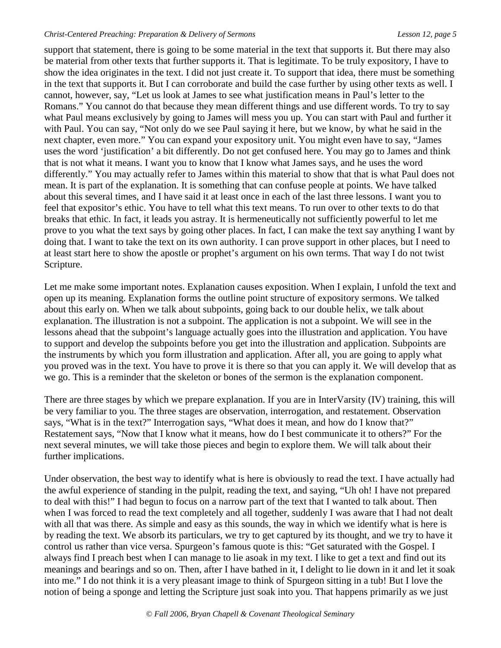support that statement, there is going to be some material in the text that supports it. But there may also be material from other texts that further supports it. That is legitimate. To be truly expository, I have to show the idea originates in the text. I did not just create it. To support that idea, there must be something in the text that supports it. But I can corroborate and build the case further by using other texts as well. I cannot, however, say, "Let us look at James to see what justification means in Paul's letter to the Romans." You cannot do that because they mean different things and use different words. To try to say what Paul means exclusively by going to James will mess you up. You can start with Paul and further it with Paul. You can say, "Not only do we see Paul saying it here, but we know, by what he said in the next chapter, even more." You can expand your expository unit. You might even have to say, "James uses the word 'justification' a bit differently. Do not get confused here. You may go to James and think that is not what it means. I want you to know that I know what James says, and he uses the word differently." You may actually refer to James within this material to show that that is what Paul does not mean. It is part of the explanation. It is something that can confuse people at points. We have talked about this several times, and I have said it at least once in each of the last three lessons. I want you to feel that expositor's ethic. You have to tell what this text means. To run over to other texts to do that breaks that ethic. In fact, it leads you astray. It is hermeneutically not sufficiently powerful to let me prove to you what the text says by going other places. In fact, I can make the text say anything I want by doing that. I want to take the text on its own authority. I can prove support in other places, but I need to at least start here to show the apostle or prophet's argument on his own terms. That way I do not twist Scripture.

Let me make some important notes. Explanation causes exposition. When I explain, I unfold the text and open up its meaning. Explanation forms the outline point structure of expository sermons. We talked about this early on. When we talk about subpoints, going back to our double helix, we talk about explanation. The illustration is not a subpoint. The application is not a subpoint. We will see in the lessons ahead that the subpoint's language actually goes into the illustration and application. You have to support and develop the subpoints before you get into the illustration and application. Subpoints are the instruments by which you form illustration and application. After all, you are going to apply what you proved was in the text. You have to prove it is there so that you can apply it. We will develop that as we go. This is a reminder that the skeleton or bones of the sermon is the explanation component.

There are three stages by which we prepare explanation. If you are in InterVarsity (IV) training, this will be very familiar to you. The three stages are observation, interrogation, and restatement. Observation says, "What is in the text?" Interrogation says, "What does it mean, and how do I know that?" Restatement says, "Now that I know what it means, how do I best communicate it to others?" For the next several minutes, we will take those pieces and begin to explore them. We will talk about their further implications.

Under observation, the best way to identify what is here is obviously to read the text. I have actually had the awful experience of standing in the pulpit, reading the text, and saying, "Uh oh! I have not prepared to deal with this!" I had begun to focus on a narrow part of the text that I wanted to talk about. Then when I was forced to read the text completely and all together, suddenly I was aware that I had not dealt with all that was there. As simple and easy as this sounds, the way in which we identify what is here is by reading the text. We absorb its particulars, we try to get captured by its thought, and we try to have it control us rather than vice versa. Spurgeon's famous quote is this: "Get saturated with the Gospel. I always find I preach best when I can manage to lie asoak in my text. I like to get a text and find out its meanings and bearings and so on. Then, after I have bathed in it, I delight to lie down in it and let it soak into me." I do not think it is a very pleasant image to think of Spurgeon sitting in a tub! But I love the notion of being a sponge and letting the Scripture just soak into you. That happens primarily as we just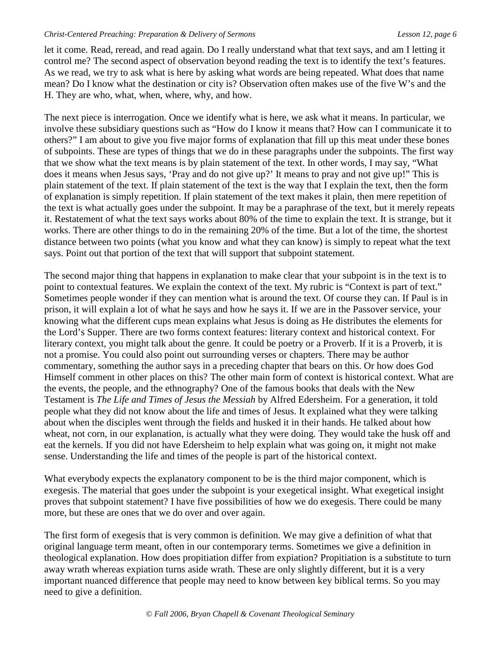let it come. Read, reread, and read again. Do I really understand what that text says, and am I letting it control me? The second aspect of observation beyond reading the text is to identify the text's features. As we read, we try to ask what is here by asking what words are being repeated. What does that name mean? Do I know what the destination or city is? Observation often makes use of the five W's and the H. They are who, what, when, where, why, and how.

The next piece is interrogation. Once we identify what is here, we ask what it means. In particular, we involve these subsidiary questions such as "How do I know it means that? How can I communicate it to others?" I am about to give you five major forms of explanation that fill up this meat under these bones of subpoints. These are types of things that we do in these paragraphs under the subpoints. The first way that we show what the text means is by plain statement of the text. In other words, I may say, "What does it means when Jesus says, 'Pray and do not give up?' It means to pray and not give up!" This is plain statement of the text. If plain statement of the text is the way that I explain the text, then the form of explanation is simply repetition. If plain statement of the text makes it plain, then mere repetition of the text is what actually goes under the subpoint. It may be a paraphrase of the text, but it merely repeats it. Restatement of what the text says works about 80% of the time to explain the text. It is strange, but it works. There are other things to do in the remaining 20% of the time. But a lot of the time, the shortest distance between two points (what you know and what they can know) is simply to repeat what the text says. Point out that portion of the text that will support that subpoint statement.

The second major thing that happens in explanation to make clear that your subpoint is in the text is to point to contextual features. We explain the context of the text. My rubric is "Context is part of text." Sometimes people wonder if they can mention what is around the text. Of course they can. If Paul is in prison, it will explain a lot of what he says and how he says it. If we are in the Passover service, your knowing what the different cups mean explains what Jesus is doing as He distributes the elements for the Lord's Supper. There are two forms context features: literary context and historical context. For literary context, you might talk about the genre. It could be poetry or a Proverb. If it is a Proverb, it is not a promise. You could also point out surrounding verses or chapters. There may be author commentary, something the author says in a preceding chapter that bears on this. Or how does God Himself comment in other places on this? The other main form of context is historical context. What are the events, the people, and the ethnography? One of the famous books that deals with the New Testament is *The Life and Times of Jesus the Messiah* by Alfred Edersheim. For a generation, it told people what they did not know about the life and times of Jesus. It explained what they were talking about when the disciples went through the fields and husked it in their hands. He talked about how wheat, not corn, in our explanation, is actually what they were doing. They would take the husk off and eat the kernels. If you did not have Edersheim to help explain what was going on, it might not make sense. Understanding the life and times of the people is part of the historical context.

What everybody expects the explanatory component to be is the third major component, which is exegesis. The material that goes under the subpoint is your exegetical insight. What exegetical insight proves that subpoint statement? I have five possibilities of how we do exegesis. There could be many more, but these are ones that we do over and over again.

The first form of exegesis that is very common is definition. We may give a definition of what that original language term meant, often in our contemporary terms. Sometimes we give a definition in theological explanation. How does propitiation differ from expiation? Propitiation is a substitute to turn away wrath whereas expiation turns aside wrath. These are only slightly different, but it is a very important nuanced difference that people may need to know between key biblical terms. So you may need to give a definition.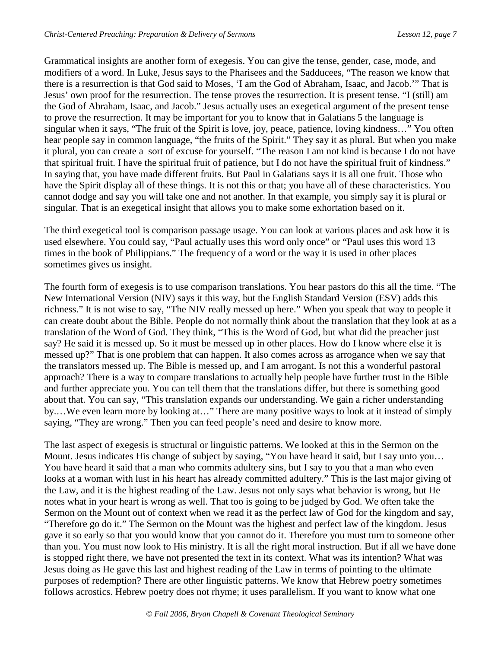Grammatical insights are another form of exegesis. You can give the tense, gender, case, mode, and modifiers of a word. In Luke, Jesus says to the Pharisees and the Sadducees, "The reason we know that there is a resurrection is that God said to Moses, 'I am the God of Abraham, Isaac, and Jacob.'" That is Jesus' own proof for the resurrection. The tense proves the resurrection. It is present tense. "I (still) am the God of Abraham, Isaac, and Jacob." Jesus actually uses an exegetical argument of the present tense to prove the resurrection. It may be important for you to know that in Galatians 5 the language is singular when it says, "The fruit of the Spirit is love, joy, peace, patience, loving kindness…" You often hear people say in common language, "the fruits of the Spirit." They say it as plural. But when you make it plural, you can create a sort of excuse for yourself. "The reason I am not kind is because I do not have that spiritual fruit. I have the spiritual fruit of patience, but I do not have the spiritual fruit of kindness." In saying that, you have made different fruits. But Paul in Galatians says it is all one fruit. Those who have the Spirit display all of these things. It is not this or that; you have all of these characteristics. You cannot dodge and say you will take one and not another. In that example, you simply say it is plural or singular. That is an exegetical insight that allows you to make some exhortation based on it.

The third exegetical tool is comparison passage usage. You can look at various places and ask how it is used elsewhere. You could say, "Paul actually uses this word only once" or "Paul uses this word 13 times in the book of Philippians." The frequency of a word or the way it is used in other places sometimes gives us insight.

The fourth form of exegesis is to use comparison translations. You hear pastors do this all the time. "The New International Version (NIV) says it this way, but the English Standard Version (ESV) adds this richness." It is not wise to say, "The NIV really messed up here." When you speak that way to people it can create doubt about the Bible. People do not normally think about the translation that they look at as a translation of the Word of God. They think, "This is the Word of God, but what did the preacher just say? He said it is messed up. So it must be messed up in other places. How do I know where else it is messed up?" That is one problem that can happen. It also comes across as arrogance when we say that the translators messed up. The Bible is messed up, and I am arrogant. Is not this a wonderful pastoral approach? There is a way to compare translations to actually help people have further trust in the Bible and further appreciate you. You can tell them that the translations differ, but there is something good about that. You can say, "This translation expands our understanding. We gain a richer understanding by.…We even learn more by looking at…" There are many positive ways to look at it instead of simply saying, "They are wrong." Then you can feed people's need and desire to know more.

The last aspect of exegesis is structural or linguistic patterns. We looked at this in the Sermon on the Mount. Jesus indicates His change of subject by saying, "You have heard it said, but I say unto you... You have heard it said that a man who commits adultery sins, but I say to you that a man who even looks at a woman with lust in his heart has already committed adultery." This is the last major giving of the Law, and it is the highest reading of the Law. Jesus not only says what behavior is wrong, but He notes what in your heart is wrong as well. That too is going to be judged by God. We often take the Sermon on the Mount out of context when we read it as the perfect law of God for the kingdom and say, "Therefore go do it." The Sermon on the Mount was the highest and perfect law of the kingdom. Jesus gave it so early so that you would know that you cannot do it. Therefore you must turn to someone other than you. You must now look to His ministry. It is all the right moral instruction. But if all we have done is stopped right there, we have not presented the text in its context. What was its intention? What was Jesus doing as He gave this last and highest reading of the Law in terms of pointing to the ultimate purposes of redemption? There are other linguistic patterns. We know that Hebrew poetry sometimes follows acrostics. Hebrew poetry does not rhyme; it uses parallelism. If you want to know what one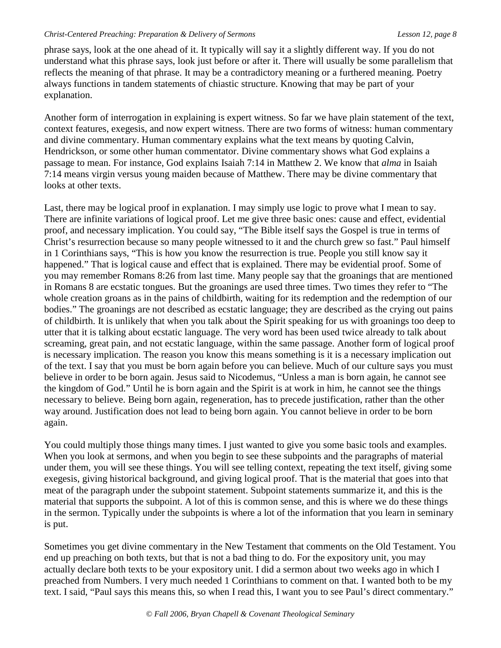phrase says, look at the one ahead of it. It typically will say it a slightly different way. If you do not understand what this phrase says, look just before or after it. There will usually be some parallelism that reflects the meaning of that phrase. It may be a contradictory meaning or a furthered meaning. Poetry always functions in tandem statements of chiastic structure. Knowing that may be part of your explanation.

Another form of interrogation in explaining is expert witness. So far we have plain statement of the text, context features, exegesis, and now expert witness. There are two forms of witness: human commentary and divine commentary. Human commentary explains what the text means by quoting Calvin, Hendrickson, or some other human commentator. Divine commentary shows what God explains a passage to mean. For instance, God explains Isaiah 7:14 in Matthew 2. We know that *alma* in Isaiah 7:14 means virgin versus young maiden because of Matthew. There may be divine commentary that looks at other texts.

Last, there may be logical proof in explanation. I may simply use logic to prove what I mean to say. There are infinite variations of logical proof. Let me give three basic ones: cause and effect, evidential proof, and necessary implication. You could say, "The Bible itself says the Gospel is true in terms of Christ's resurrection because so many people witnessed to it and the church grew so fast." Paul himself in 1 Corinthians says, "This is how you know the resurrection is true. People you still know say it happened." That is logical cause and effect that is explained. There may be evidential proof. Some of you may remember Romans 8:26 from last time. Many people say that the groanings that are mentioned in Romans 8 are ecstatic tongues. But the groanings are used three times. Two times they refer to "The whole creation groans as in the pains of childbirth, waiting for its redemption and the redemption of our bodies." The groanings are not described as ecstatic language; they are described as the crying out pains of childbirth. It is unlikely that when you talk about the Spirit speaking for us with groanings too deep to utter that it is talking about ecstatic language. The very word has been used twice already to talk about screaming, great pain, and not ecstatic language, within the same passage. Another form of logical proof is necessary implication. The reason you know this means something is it is a necessary implication out of the text. I say that you must be born again before you can believe. Much of our culture says you must believe in order to be born again. Jesus said to Nicodemus, "Unless a man is born again, he cannot see the kingdom of God." Until he is born again and the Spirit is at work in him, he cannot see the things necessary to believe. Being born again, regeneration, has to precede justification, rather than the other way around. Justification does not lead to being born again. You cannot believe in order to be born again.

You could multiply those things many times. I just wanted to give you some basic tools and examples. When you look at sermons, and when you begin to see these subpoints and the paragraphs of material under them, you will see these things. You will see telling context, repeating the text itself, giving some exegesis, giving historical background, and giving logical proof. That is the material that goes into that meat of the paragraph under the subpoint statement. Subpoint statements summarize it, and this is the material that supports the subpoint. A lot of this is common sense, and this is where we do these things in the sermon. Typically under the subpoints is where a lot of the information that you learn in seminary is put.

Sometimes you get divine commentary in the New Testament that comments on the Old Testament. You end up preaching on both texts, but that is not a bad thing to do. For the expository unit, you may actually declare both texts to be your expository unit. I did a sermon about two weeks ago in which I preached from Numbers. I very much needed 1 Corinthians to comment on that. I wanted both to be my text. I said, "Paul says this means this, so when I read this, I want you to see Paul's direct commentary."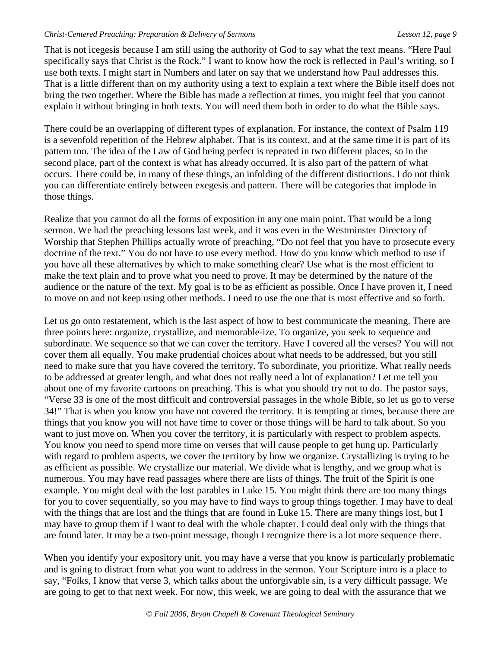That is not icegesis because I am still using the authority of God to say what the text means. "Here Paul specifically says that Christ is the Rock." I want to know how the rock is reflected in Paul's writing, so I use both texts. I might start in Numbers and later on say that we understand how Paul addresses this. That is a little different than on my authority using a text to explain a text where the Bible itself does not bring the two together. Where the Bible has made a reflection at times, you might feel that you cannot explain it without bringing in both texts. You will need them both in order to do what the Bible says.

There could be an overlapping of different types of explanation. For instance, the context of Psalm 119 is a sevenfold repetition of the Hebrew alphabet. That is its context, and at the same time it is part of its pattern too. The idea of the Law of God being perfect is repeated in two different places, so in the second place, part of the context is what has already occurred. It is also part of the pattern of what occurs. There could be, in many of these things, an infolding of the different distinctions. I do not think you can differentiate entirely between exegesis and pattern. There will be categories that implode in those things.

Realize that you cannot do all the forms of exposition in any one main point. That would be a long sermon. We had the preaching lessons last week, and it was even in the Westminster Directory of Worship that Stephen Phillips actually wrote of preaching, "Do not feel that you have to prosecute every doctrine of the text." You do not have to use every method. How do you know which method to use if you have all these alternatives by which to make something clear? Use what is the most efficient to make the text plain and to prove what you need to prove. It may be determined by the nature of the audience or the nature of the text. My goal is to be as efficient as possible. Once I have proven it, I need to move on and not keep using other methods. I need to use the one that is most effective and so forth.

Let us go onto restatement, which is the last aspect of how to best communicate the meaning. There are three points here: organize, crystallize, and memorable-ize. To organize, you seek to sequence and subordinate. We sequence so that we can cover the territory. Have I covered all the verses? You will not cover them all equally. You make prudential choices about what needs to be addressed, but you still need to make sure that you have covered the territory. To subordinate, you prioritize. What really needs to be addressed at greater length, and what does not really need a lot of explanation? Let me tell you about one of my favorite cartoons on preaching. This is what you should try not to do. The pastor says, "Verse 33 is one of the most difficult and controversial passages in the whole Bible, so let us go to verse 34!" That is when you know you have not covered the territory. It is tempting at times, because there are things that you know you will not have time to cover or those things will be hard to talk about. So you want to just move on. When you cover the territory, it is particularly with respect to problem aspects. You know you need to spend more time on verses that will cause people to get hung up. Particularly with regard to problem aspects, we cover the territory by how we organize. Crystallizing is trying to be as efficient as possible. We crystallize our material. We divide what is lengthy, and we group what is numerous. You may have read passages where there are lists of things. The fruit of the Spirit is one example. You might deal with the lost parables in Luke 15. You might think there are too many things for you to cover sequentially, so you may have to find ways to group things together. I may have to deal with the things that are lost and the things that are found in Luke 15. There are many things lost, but I may have to group them if I want to deal with the whole chapter. I could deal only with the things that are found later. It may be a two-point message, though I recognize there is a lot more sequence there.

When you identify your expository unit, you may have a verse that you know is particularly problematic and is going to distract from what you want to address in the sermon. Your Scripture intro is a place to say, "Folks, I know that verse 3, which talks about the unforgivable sin, is a very difficult passage. We are going to get to that next week. For now, this week, we are going to deal with the assurance that we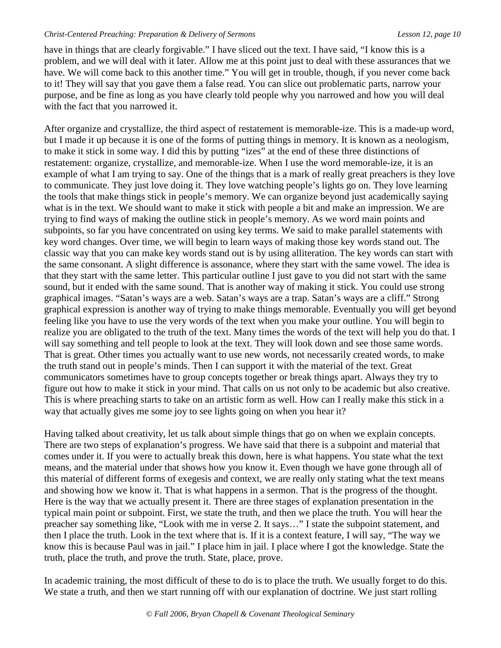have in things that are clearly forgivable." I have sliced out the text. I have said, "I know this is a problem, and we will deal with it later. Allow me at this point just to deal with these assurances that we have. We will come back to this another time." You will get in trouble, though, if you never come back to it! They will say that you gave them a false read. You can slice out problematic parts, narrow your purpose, and be fine as long as you have clearly told people why you narrowed and how you will deal with the fact that you narrowed it.

After organize and crystallize, the third aspect of restatement is memorable-ize. This is a made-up word, but I made it up because it is one of the forms of putting things in memory. It is known as a neologism, to make it stick in some way. I did this by putting "izes" at the end of these three distinctions of restatement: organize, crystallize, and memorable-ize. When I use the word memorable-ize, it is an example of what I am trying to say. One of the things that is a mark of really great preachers is they love to communicate. They just love doing it. They love watching people's lights go on. They love learning the tools that make things stick in people's memory. We can organize beyond just academically saying what is in the text. We should want to make it stick with people a bit and make an impression. We are trying to find ways of making the outline stick in people's memory. As we word main points and subpoints, so far you have concentrated on using key terms. We said to make parallel statements with key word changes. Over time, we will begin to learn ways of making those key words stand out. The classic way that you can make key words stand out is by using alliteration. The key words can start with the same consonant. A slight difference is assonance, where they start with the same vowel. The idea is that they start with the same letter. This particular outline I just gave to you did not start with the same sound, but it ended with the same sound. That is another way of making it stick. You could use strong graphical images. "Satan's ways are a web. Satan's ways are a trap. Satan's ways are a cliff." Strong graphical expression is another way of trying to make things memorable. Eventually you will get beyond feeling like you have to use the very words of the text when you make your outline. You will begin to realize you are obligated to the truth of the text. Many times the words of the text will help you do that. I will say something and tell people to look at the text. They will look down and see those same words. That is great. Other times you actually want to use new words, not necessarily created words, to make the truth stand out in people's minds. Then I can support it with the material of the text. Great communicators sometimes have to group concepts together or break things apart. Always they try to figure out how to make it stick in your mind. That calls on us not only to be academic but also creative. This is where preaching starts to take on an artistic form as well. How can I really make this stick in a way that actually gives me some joy to see lights going on when you hear it?

Having talked about creativity, let us talk about simple things that go on when we explain concepts. There are two steps of explanation's progress. We have said that there is a subpoint and material that comes under it. If you were to actually break this down, here is what happens. You state what the text means, and the material under that shows how you know it. Even though we have gone through all of this material of different forms of exegesis and context, we are really only stating what the text means and showing how we know it. That is what happens in a sermon. That is the progress of the thought. Here is the way that we actually present it. There are three stages of explanation presentation in the typical main point or subpoint. First, we state the truth, and then we place the truth. You will hear the preacher say something like, "Look with me in verse 2. It says…" I state the subpoint statement, and then I place the truth. Look in the text where that is. If it is a context feature, I will say, "The way we know this is because Paul was in jail." I place him in jail. I place where I got the knowledge. State the truth, place the truth, and prove the truth. State, place, prove.

In academic training, the most difficult of these to do is to place the truth. We usually forget to do this. We state a truth, and then we start running off with our explanation of doctrine. We just start rolling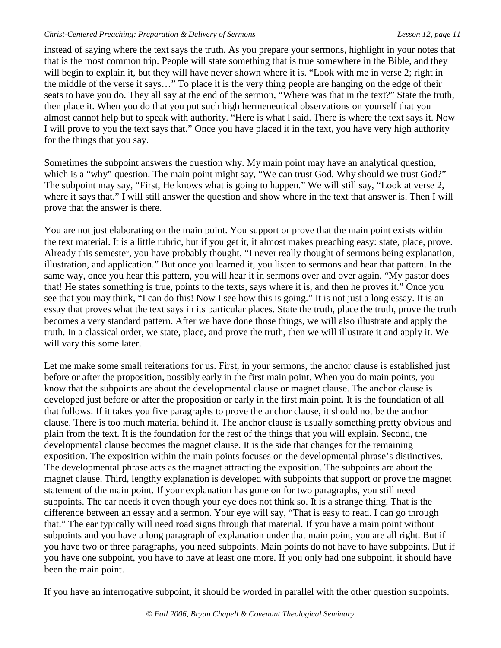instead of saying where the text says the truth. As you prepare your sermons, highlight in your notes that that is the most common trip. People will state something that is true somewhere in the Bible, and they will begin to explain it, but they will have never shown where it is. "Look with me in verse 2; right in the middle of the verse it says…" To place it is the very thing people are hanging on the edge of their seats to have you do. They all say at the end of the sermon, "Where was that in the text?" State the truth, then place it. When you do that you put such high hermeneutical observations on yourself that you almost cannot help but to speak with authority. "Here is what I said. There is where the text says it. Now I will prove to you the text says that." Once you have placed it in the text, you have very high authority for the things that you say.

Sometimes the subpoint answers the question why. My main point may have an analytical question, which is a "why" question. The main point might say, "We can trust God. Why should we trust God?" The subpoint may say, "First, He knows what is going to happen." We will still say, "Look at verse 2, where it says that." I will still answer the question and show where in the text that answer is. Then I will prove that the answer is there.

You are not just elaborating on the main point. You support or prove that the main point exists within the text material. It is a little rubric, but if you get it, it almost makes preaching easy: state, place, prove. Already this semester, you have probably thought, "I never really thought of sermons being explanation, illustration, and application." But once you learned it, you listen to sermons and hear that pattern. In the same way, once you hear this pattern, you will hear it in sermons over and over again. "My pastor does that! He states something is true, points to the texts, says where it is, and then he proves it." Once you see that you may think, "I can do this! Now I see how this is going." It is not just a long essay. It is an essay that proves what the text says in its particular places. State the truth, place the truth, prove the truth becomes a very standard pattern. After we have done those things, we will also illustrate and apply the truth. In a classical order, we state, place, and prove the truth, then we will illustrate it and apply it. We will vary this some later.

Let me make some small reiterations for us. First, in your sermons, the anchor clause is established just before or after the proposition, possibly early in the first main point. When you do main points, you know that the subpoints are about the developmental clause or magnet clause. The anchor clause is developed just before or after the proposition or early in the first main point. It is the foundation of all that follows. If it takes you five paragraphs to prove the anchor clause, it should not be the anchor clause. There is too much material behind it. The anchor clause is usually something pretty obvious and plain from the text. It is the foundation for the rest of the things that you will explain. Second, the developmental clause becomes the magnet clause. It is the side that changes for the remaining exposition. The exposition within the main points focuses on the developmental phrase's distinctives. The developmental phrase acts as the magnet attracting the exposition. The subpoints are about the magnet clause. Third, lengthy explanation is developed with subpoints that support or prove the magnet statement of the main point. If your explanation has gone on for two paragraphs, you still need subpoints. The ear needs it even though your eye does not think so. It is a strange thing. That is the difference between an essay and a sermon. Your eye will say, "That is easy to read. I can go through that." The ear typically will need road signs through that material. If you have a main point without subpoints and you have a long paragraph of explanation under that main point, you are all right. But if you have two or three paragraphs, you need subpoints. Main points do not have to have subpoints. But if you have one subpoint, you have to have at least one more. If you only had one subpoint, it should have been the main point.

If you have an interrogative subpoint, it should be worded in parallel with the other question subpoints.